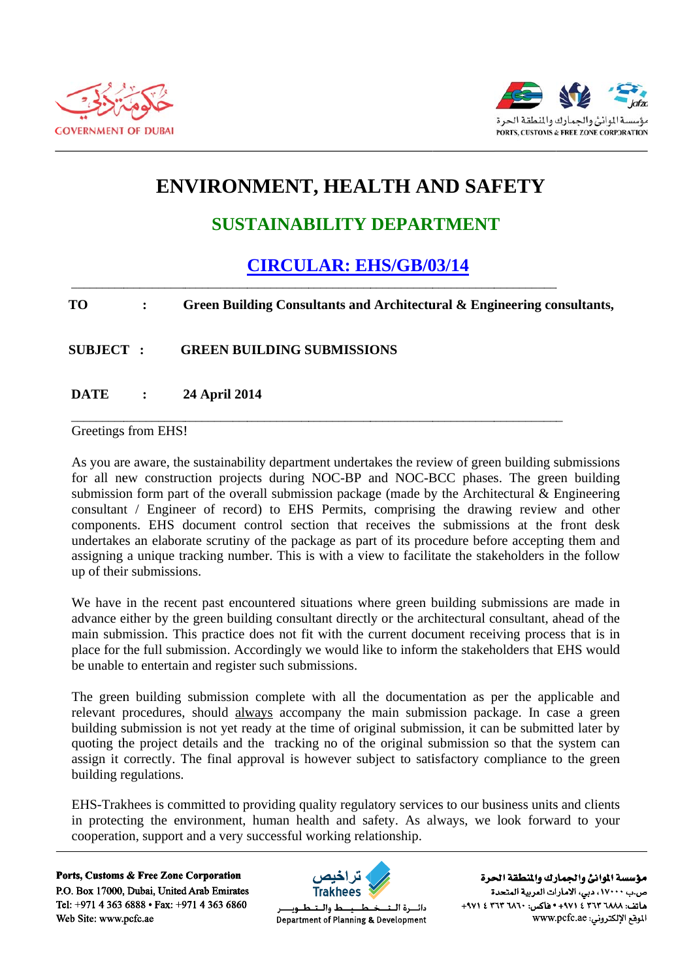



# **ENVIRONMENT, HEALTH AND SAFETY**

### **SUSTAINABILITY DEPARTMENT**

## **CIRCULAR: EHS/GB/03/14**

#### **TO**  $\ddot{\cdot}$ Green Building Consultants and Architectural & Engineering consultants,

**SUBJECT: GREEN BUILDING SUBMISSIONS** 

**DATE 24 April 2014**  $\bullet$ 

#### Greetings from EHS!

As you are aware, the sustainability department undertakes the review of green building submissions for all new construction projects during NOC-BP and NOC-BCC phases. The green building submission form part of the overall submission package (made by the Architectural  $\&$  Engineering consultant / Engineer of record) to EHS Permits, comprising the drawing review and other components. EHS document control section that receives the submissions at the front desk undertakes an elaborate scrutiny of the package as part of its procedure before accepting them and assigning a unique tracking number. This is with a view to facilitate the stakeholders in the follow up of their submissions.

We have in the recent past encountered situations where green building submissions are made in advance either by the green building consultant directly or the architectural consultant, ahead of the main submission. This practice does not fit with the current document receiving process that is in place for the full submission. Accordingly we would like to inform the stakeholders that EHS would be unable to entertain and register such submissions.

The green building submission complete with all the documentation as per the applicable and relevant procedures, should always accompany the main submission package. In case a green building submission is not yet ready at the time of original submission, it can be submitted later by quoting the project details and the tracking no of the original submission so that the system can assign it correctly. The final approval is however subject to satisfactory compliance to the green building regulations.

EHS-Trakhees is committed to providing quality regulatory services to our business units and clients in protecting the environment, human health and safety. As always, we look forward to your cooperation, support and a very successful working relationship.

Ports, Customs & Free Zone Corporation P.O. Box 17000, Dubai, United Arab Emirates Tel: +971 4 363 6888 • Fax: +971 4 363 6860 Web Site: www.pcfc.ae



ط والــنـ دائسرة البت Department of Planning & Development

مؤسسة الموانئ والجمارك والنطقة الحرة ص.ب ١٧٠٠٠، دبي، الأمارات العربية المتحدة ماتف: ٢٦٨٨ ٣٦٣ ٢ ٤ ٢٩٧١ - ١٩٥٥ ماكس: ٣٦٢ ٣ ٢٦٢ ٤ ٢٩٧١ الموقع الإلكتروني: www.pcfc.ae